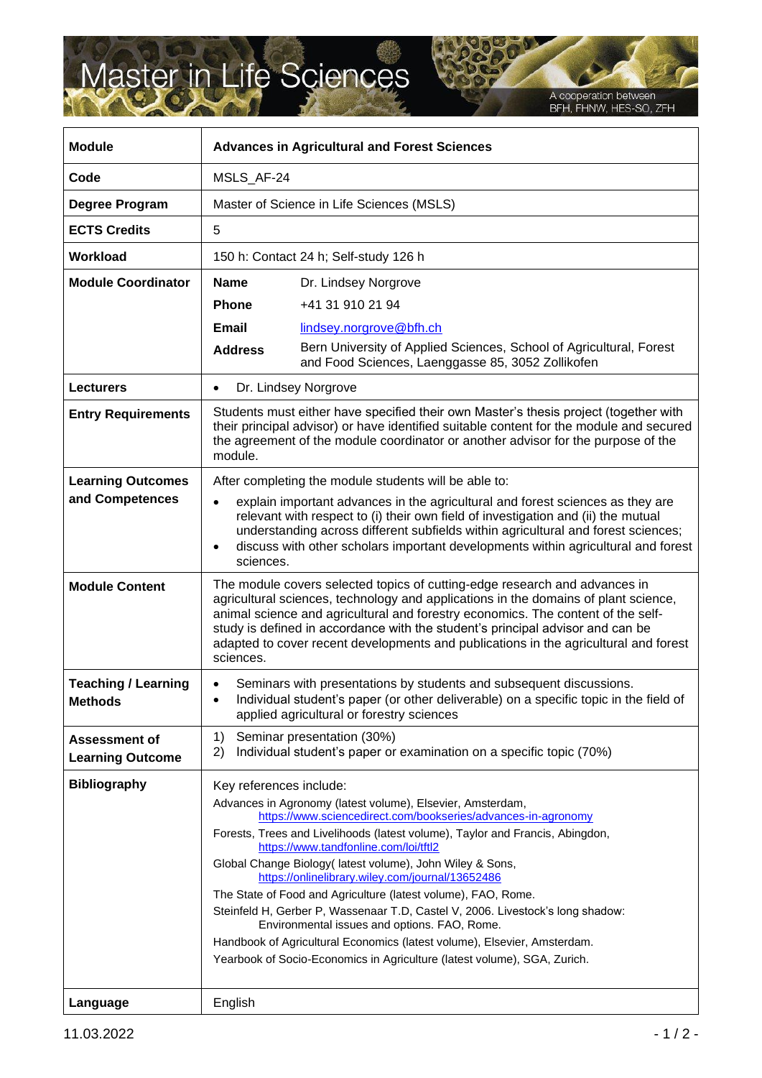## Master in Life Sciences

A cooperation between<br>BFH, FHNW, HES-SO, ZFH

| <b>Module</b>                                   | <b>Advances in Agricultural and Forest Sciences</b>                                                                                                                                                                                                                                                                                                                                                                                                                                                                                                                                                                                                                                                                                                          |                                                                                                                          |  |
|-------------------------------------------------|--------------------------------------------------------------------------------------------------------------------------------------------------------------------------------------------------------------------------------------------------------------------------------------------------------------------------------------------------------------------------------------------------------------------------------------------------------------------------------------------------------------------------------------------------------------------------------------------------------------------------------------------------------------------------------------------------------------------------------------------------------------|--------------------------------------------------------------------------------------------------------------------------|--|
| Code                                            | MSLS_AF-24                                                                                                                                                                                                                                                                                                                                                                                                                                                                                                                                                                                                                                                                                                                                                   |                                                                                                                          |  |
| Degree Program                                  | Master of Science in Life Sciences (MSLS)                                                                                                                                                                                                                                                                                                                                                                                                                                                                                                                                                                                                                                                                                                                    |                                                                                                                          |  |
| <b>ECTS Credits</b>                             | 5                                                                                                                                                                                                                                                                                                                                                                                                                                                                                                                                                                                                                                                                                                                                                            |                                                                                                                          |  |
| Workload                                        | 150 h: Contact 24 h; Self-study 126 h                                                                                                                                                                                                                                                                                                                                                                                                                                                                                                                                                                                                                                                                                                                        |                                                                                                                          |  |
| <b>Module Coordinator</b>                       | <b>Name</b>                                                                                                                                                                                                                                                                                                                                                                                                                                                                                                                                                                                                                                                                                                                                                  | Dr. Lindsey Norgrove                                                                                                     |  |
|                                                 | <b>Phone</b>                                                                                                                                                                                                                                                                                                                                                                                                                                                                                                                                                                                                                                                                                                                                                 | +41 31 910 21 94                                                                                                         |  |
|                                                 | <b>Email</b>                                                                                                                                                                                                                                                                                                                                                                                                                                                                                                                                                                                                                                                                                                                                                 | lindsey.norgrove@bfh.ch                                                                                                  |  |
|                                                 | <b>Address</b>                                                                                                                                                                                                                                                                                                                                                                                                                                                                                                                                                                                                                                                                                                                                               | Bern University of Applied Sciences, School of Agricultural, Forest<br>and Food Sciences, Laenggasse 85, 3052 Zollikofen |  |
| <b>Lecturers</b>                                | Dr. Lindsey Norgrove<br>$\bullet$                                                                                                                                                                                                                                                                                                                                                                                                                                                                                                                                                                                                                                                                                                                            |                                                                                                                          |  |
| <b>Entry Requirements</b>                       | Students must either have specified their own Master's thesis project (together with<br>their principal advisor) or have identified suitable content for the module and secured<br>the agreement of the module coordinator or another advisor for the purpose of the<br>module.                                                                                                                                                                                                                                                                                                                                                                                                                                                                              |                                                                                                                          |  |
| <b>Learning Outcomes</b>                        | After completing the module students will be able to:                                                                                                                                                                                                                                                                                                                                                                                                                                                                                                                                                                                                                                                                                                        |                                                                                                                          |  |
| and Competences                                 | explain important advances in the agricultural and forest sciences as they are<br>$\bullet$<br>relevant with respect to (i) their own field of investigation and (ii) the mutual<br>understanding across different subfields within agricultural and forest sciences;<br>discuss with other scholars important developments within agricultural and forest<br>sciences.                                                                                                                                                                                                                                                                                                                                                                                      |                                                                                                                          |  |
| <b>Module Content</b>                           | The module covers selected topics of cutting-edge research and advances in<br>agricultural sciences, technology and applications in the domains of plant science,<br>animal science and agricultural and forestry economics. The content of the self-<br>study is defined in accordance with the student's principal advisor and can be<br>adapted to cover recent developments and publications in the agricultural and forest<br>sciences.                                                                                                                                                                                                                                                                                                                 |                                                                                                                          |  |
| <b>Teaching / Learning</b><br><b>Methods</b>    | Seminars with presentations by students and subsequent discussions.<br>Individual student's paper (or other deliverable) on a specific topic in the field of<br>$\bullet$<br>applied agricultural or forestry sciences                                                                                                                                                                                                                                                                                                                                                                                                                                                                                                                                       |                                                                                                                          |  |
| <b>Assessment of</b><br><b>Learning Outcome</b> | 1)<br>2)                                                                                                                                                                                                                                                                                                                                                                                                                                                                                                                                                                                                                                                                                                                                                     | Seminar presentation (30%)<br>Individual student's paper or examination on a specific topic (70%)                        |  |
| <b>Bibliography</b>                             | Key references include:<br>Advances in Agronomy (latest volume), Elsevier, Amsterdam,<br>https://www.sciencedirect.com/bookseries/advances-in-agronomy<br>Forests, Trees and Livelihoods (latest volume), Taylor and Francis, Abingdon,<br>https://www.tandfonline.com/loi/tftl2<br>Global Change Biology (latest volume), John Wiley & Sons,<br>https://onlinelibrary.wiley.com/journal/13652486<br>The State of Food and Agriculture (latest volume), FAO, Rome.<br>Steinfeld H, Gerber P, Wassenaar T.D, Castel V, 2006. Livestock's long shadow:<br>Environmental issues and options. FAO, Rome.<br>Handbook of Agricultural Economics (latest volume), Elsevier, Amsterdam.<br>Yearbook of Socio-Economics in Agriculture (latest volume), SGA, Zurich. |                                                                                                                          |  |
| Language                                        | English                                                                                                                                                                                                                                                                                                                                                                                                                                                                                                                                                                                                                                                                                                                                                      |                                                                                                                          |  |